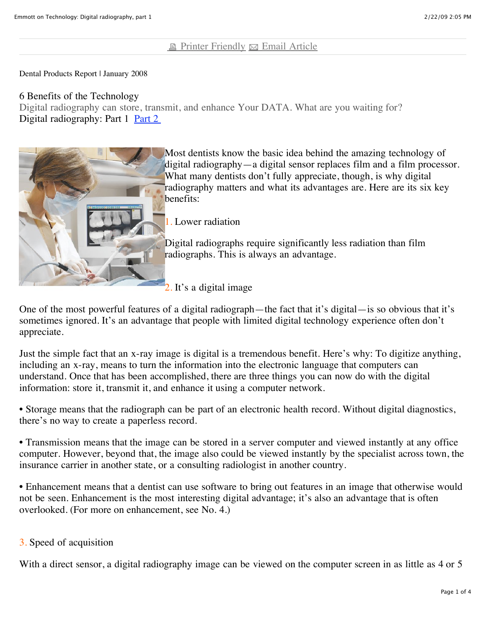# **E** [Printer Friendly](javascript:void(0))  $\boxtimes$  [Email Article](javascript:void(0))

Dental Products Report | January 2008

### 6 Benefits of the Technology

Digital radiography can store, transmit, and enhance Your DATA. What are you waiting for? Digital radiography: Part 1 Part 2



Most dentists know the basic idea behind the amazing technology of digital radiography—a digital sensor replaces film and a film processor. What many dentists don't fully appreciate, though, is why digital radiography matters and what its advantages are. Here are its six key

1. Lower radiation

Digital radiographs require significantly less radiation than film radiographs. This is always an advantage.

2. It's a digital image

One of the most powerful features of a digital radiograph—the fact that it's digital—is so obvious that it's sometimes ignored. It's an advantage that people with limited digital technology experience often don't appreciate.

Just the simple fact that an x-ray image is digital is a tremendous benefit. Here's why: To digitize anything, including an x-ray, means to turn the information into the electronic language that computers can understand. Once that has been accomplished, there are three things you can now do with the digital information: store it, transmit it, and enhance it using a computer network.

• Storage means that the radiograph can be part of an electronic health record. Without digital diagnostics, there's no way to create a paperless record.

• Transmission means that the image can be stored in a server computer and viewed instantly at any office computer. However, beyond that, the image also could be viewed instantly by the specialist across town, the insurance carrier in another state, or a consulting radiologist in another country.

• Enhancement means that a dentist can use software to bring out features in an image that otherwise would not be seen. Enhancement is the most interesting digital advantage; it's also an advantage that is often overlooked. (For more on enhancement, see No. 4.)

# 3. Speed of acquisition

With a direct sensor, a digital radiography image can be viewed on the computer screen in as little as 4 or 5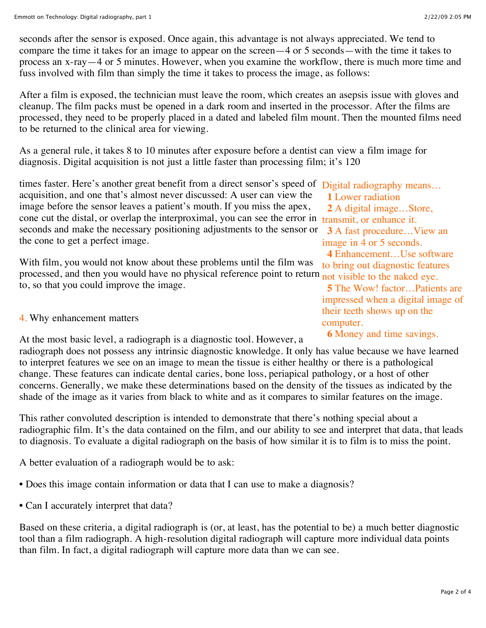seconds after the sensor is exposed. Once again, this advantage is not always appreciated. We tend to compare the time it takes for an image to appear on the screen—4 or 5 seconds—with the time it takes to process an x-ray—4 or 5 minutes. However, when you examine the workflow, there is much more time and fuss involved with film than simply the time it takes to process the image, as follows:

After a film is exposed, the technician must leave the room, which creates an asepsis issue with gloves and cleanup. The film packs must be opened in a dark room and inserted in the processor. After the films are processed, they need to be properly placed in a dated and labeled film mount. Then the mounted films need to be returned to the clinical area for viewing.

As a general rule, it takes 8 to 10 minutes after exposure before a dentist can view a film image for diagnosis. Digital acquisition is not just a little faster than processing film; it's 120

times faster. Here's another great benefit from a direct sensor's speed of Digital radiography means... cone cut the distal, or overlap the interproximal, you can see the error in transmit, or enhance it. seconds and make the necessary positioning adjustments to the sensor or 3 A fast procedure...View an acquisition, and one that's almost never discussed: A user can view the image before the sensor leaves a patient's mouth. If you miss the apex, the cone to get a perfect image.

processed, and then you would have no physical reference point to return not visible to the naked eye. With film, you would not know about these problems until the film was to, so that you could improve the image.

# 4. Why enhancement matters

At the most basic level, a radiograph is a diagnostic tool. However, a

radiograph does not possess any intrinsic diagnostic knowledge. It only has value because we have learned to interpret features we see on an image to mean the tissue is either healthy or there is a pathological change. These features can indicate dental caries, bone loss, periapical pathology, or a host of other concerns. Generally, we make these determinations based on the density of the tissues as indicated by the shade of the image as it varies from black to white and as it compares to similar features on the image.

This rather convoluted description is intended to demonstrate that there's nothing special about a radiographic film. It's the data contained on the film, and our ability to see and interpret that data, that leads to diagnosis. To evaluate a digital radiograph on the basis of how similar it is to film is to miss the point.

A better evaluation of a radiograph would be to ask:

- Does this image contain information or data that I can use to make a diagnosis?
- Can I accurately interpret that data?

Based on these criteria, a digital radiograph is (or, at least, has the potential to be) a much better diagnostic tool than a film radiograph. A high-resolution digital radiograph will capture more individual data points than film. In fact, a digital radiograph will capture more data than we can see.

**1** Lower radiation **2** A digital image…Store, image in 4 or 5 seconds. **4** Enhancement…Use software to bring out diagnostic features **5** The Wow! factor…Patients are impressed when a digital image of

computer. **6** Money and time savings.

their teeth shows up on the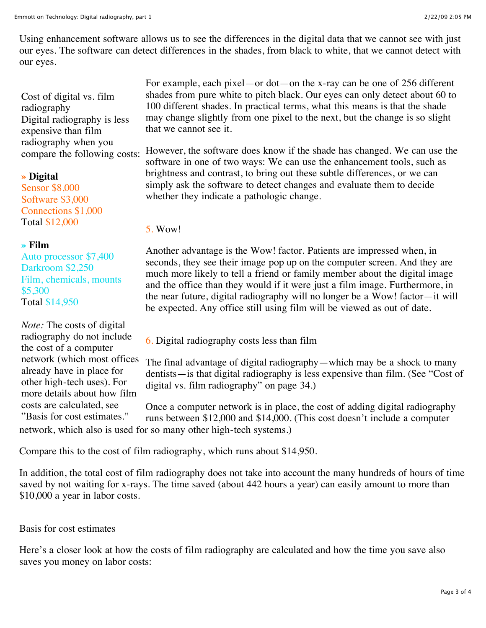Cost of digital vs. film radiography Digital radiography is less expensive than film radiography when you compare the following costs:

### **» Digital**

Sensor \$8,000 Software \$3,000 Connections \$1,000 Total \$12,000

# **» Film**

Auto processor \$7,400 Darkroom \$2,250 Film, chemicals, mounts \$5,300 Total \$14,950

*Note:* The costs of digital radiography do not include the cost of a computer network (which most offices already have in place for other high-tech uses). For more details about how film costs are calculated, see "Basis for cost estimates."

For example, each pixel—or dot—on the x-ray can be one of 256 different shades from pure white to pitch black. Our eyes can only detect about 60 to 100 different shades. In practical terms, what this means is that the shade may change slightly from one pixel to the next, but the change is so slight that we cannot see it.

However, the software does know if the shade has changed. We can use the software in one of two ways: We can use the enhancement tools, such as brightness and contrast, to bring out these subtle differences, or we can simply ask the software to detect changes and evaluate them to decide whether they indicate a pathologic change.

5. Wow!

Another advantage is the Wow! factor. Patients are impressed when, in seconds, they see their image pop up on the computer screen. And they are much more likely to tell a friend or family member about the digital image and the office than they would if it were just a film image. Furthermore, in the near future, digital radiography will no longer be a Wow! factor—it will be expected. Any office still using film will be viewed as out of date.

6. Digital radiography costs less than film

The final advantage of digital radiography—which may be a shock to many dentists—is that digital radiography is less expensive than film. (See "Cost of digital vs. film radiography" on page 34.)

Once a computer network is in place, the cost of adding digital radiography runs between \$12,000 and \$14,000. (This cost doesn't include a computer network, which also is used for so many other high-tech systems.)

Compare this to the cost of film radiography, which runs about \$14,950.

In addition, the total cost of film radiography does not take into account the many hundreds of hours of time saved by not waiting for x-rays. The time saved (about 442 hours a year) can easily amount to more than \$10,000 a year in labor costs.

Basis for cost estimates

Here's a closer look at how the costs of film radiography are calculated and how the time you save also saves you money on labor costs: